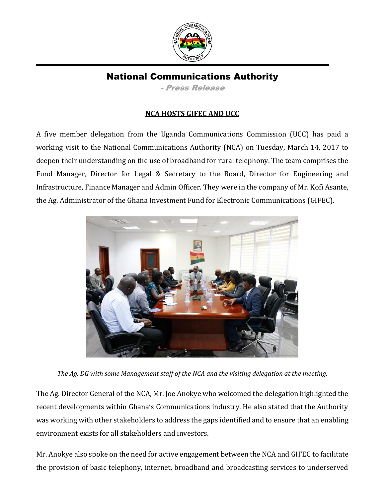

# National Communications Authority

- Press Release

## **NCA HOSTS GIFEC AND UCC**

A five member delegation from the Uganda Communications Commission (UCC) has paid a working visit to the National Communications Authority (NCA) on Tuesday, March 14, 2017 to deepen their understanding on the use of broadband for rural telephony. The team comprises the Fund Manager, Director for Legal & Secretary to the Board, Director for Engineering and Infrastructure, Finance Manager and Admin Officer. They were in the company of Mr. Kofi Asante, the Ag. Administrator of the Ghana Investment Fund for Electronic Communications (GIFEC).



*The Ag. DG with some Management staff of the NCA and the visiting delegation at the meeting.*

The Ag. Director General of the NCA, Mr. Joe Anokye who welcomed the delegation highlighted the recent developments within Ghana's Communications industry. He also stated that the Authority was working with other stakeholders to address the gaps identified and to ensure that an enabling environment exists for all stakeholders and investors.

Mr. Anokye also spoke on the need for active engagement between the NCA and GIFEC to facilitate the provision of basic telephony, internet, broadband and broadcasting services to underserved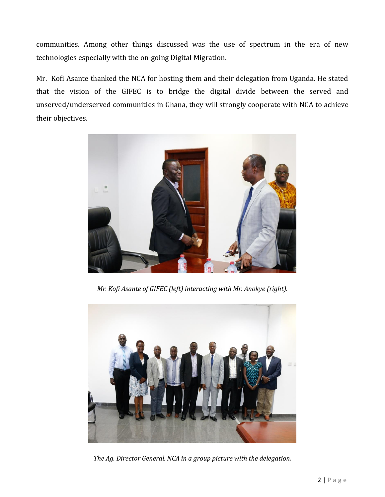communities. Among other things discussed was the use of spectrum in the era of new technologies especially with the on-going Digital Migration.

Mr. Kofi Asante thanked the NCA for hosting them and their delegation from Uganda. He stated that the vision of the GIFEC is to bridge the digital divide between the served and unserved/underserved communities in Ghana, they will strongly cooperate with NCA to achieve their objectives.



*Mr. Kofi Asante of GIFEC (left) interacting with Mr. Anokye (right).*



*The Ag. Director General, NCA in a group picture with the delegation.*